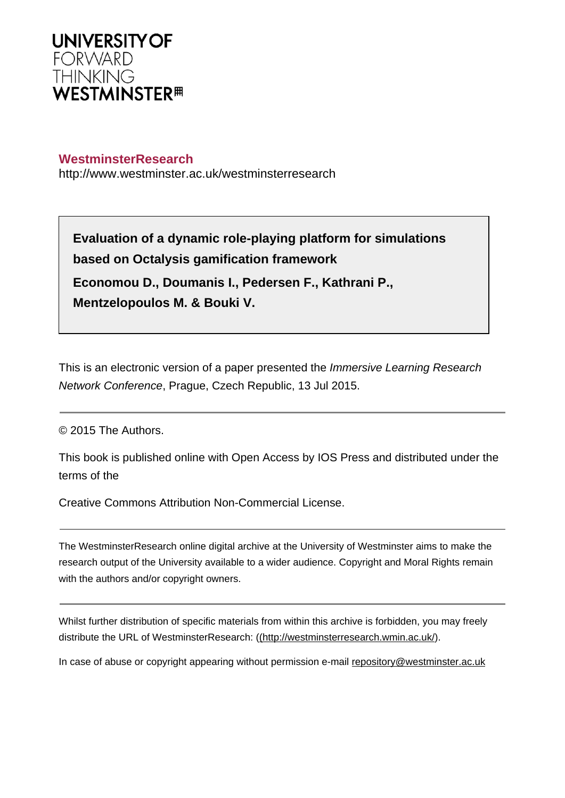

# **WestminsterResearch**

http://www.westminster.ac.uk/westminsterresearch

**Evaluation of a dynamic role-playing platform for simulations based on Octalysis gamification framework Economou D., Doumanis I., Pedersen F., Kathrani P., Mentzelopoulos M. & Bouki V.**

This is an electronic version of a paper presented the *Immersive Learning Research* Network Conference, Prague, Czech Republic, 13 Jul 2015.

© 2015 The Authors.

This book is published online with Open Access by IOS Press and distributed under the terms of the

Creative Commons Attribution Non-Commercial License.

The WestminsterResearch online digital archive at the University of Westminster aims to make the research output of the University available to a wider audience. Copyright and Moral Rights remain with the authors and/or copyright owners.

Whilst further distribution of specific materials from within this archive is forbidden, you may freely distribute the URL of WestminsterResearch: [\(\(http://westminsterresearch.wmin.ac.uk/](http://westminsterresearch.wmin.ac.uk/)).

In case of abuse or copyright appearing without permission e-mail <repository@westminster.ac.uk>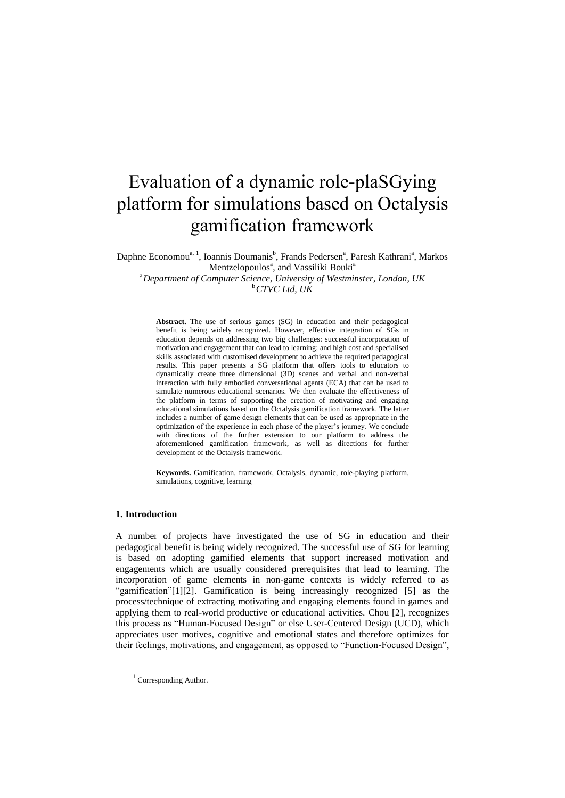# Evaluation of a dynamic role-plaSGying platform for simulations based on Octalysis gamification framework

Daphne Economou<sup>a, 1</sup>, Ioannis Doumanis<sup>b</sup>, Frands Pedersen<sup>a</sup>, Paresh Kathrani<sup>a</sup>, Markos Mentzelopoulos<sup>a</sup>, and Vassiliki Bouki<sup>a</sup> <sup>a</sup>*Department of Computer Science, University of Westminster, London, UK* <sup>b</sup>*CTVC Ltd, UK*

> **Abstract.** The use of serious games (SG) in education and their pedagogical benefit is being widely recognized. However, effective integration of SGs in education depends on addressing two big challenges: successful incorporation of motivation and engagement that can lead to learning; and high cost and specialised skills associated with customised development to achieve the required pedagogical results. This paper presents a SG platform that offers tools to educators to dynamically create three dimensional (3D) scenes and verbal and non-verbal interaction with fully embodied conversational agents (ECA) that can be used to simulate numerous educational scenarios. We then evaluate the effectiveness of the platform in terms of supporting the creation of motivating and engaging educational simulations based on the Octalysis gamification framework. The latter includes a number of game design elements that can be used as appropriate in the optimization of the experience in each phase of the player's journey. We conclude with directions of the further extension to our platform to address the aforementioned gamification framework, as well as directions for further development of the Octalysis framework.

> **Keywords.** Gamification, framework, Octalysis, dynamic, role-playing platform, simulations, cognitive, learning

## **1. Introduction**

A number of projects have investigated the use of SG in education and their pedagogical benefit is being widely recognized. The successful use of SG for learning is based on adopting gamified elements that support increased motivation and engagements which are usually considered prerequisites that lead to learning. The incorporation of game elements in non-game contexts is widely referred to as "gamification["\[1\]\[2\].](#page-8-0) Gamification is being increasingly recognized [\[5\]](#page-8-1) as the process/technique of extracting motivating and engaging elements found in games and applying them to real-world productive or educational activities. Chou [\[2\],](#page-8-2) recognizes this process as "Human-Focused Design" or else User-Centered Design (UCD), which appreciates user motives, cognitive and emotional states and therefore optimizes for their feelings, motivations, and engagement, as opposed to "Function-Focused Design",

1

<sup>&</sup>lt;sup>1</sup> Corresponding Author.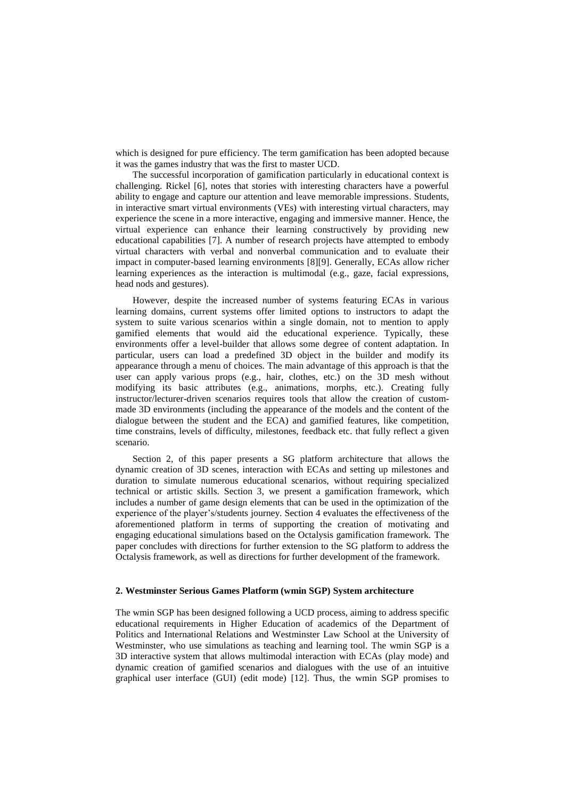which is designed for pure efficiency. The term gamification has been adopted because it was the games industry that was the first to master UCD.

The successful incorporation of gamification particularly in educational context is challenging. Rickel [\[6\],](#page-8-3) notes that stories with interesting characters have a powerful ability to engage and capture our attention and leave memorable impressions. Students, in interactive smart virtual environments (VEs) with interesting virtual characters, may experience the scene in a more interactive, engaging and immersive manner. Hence, the virtual experience can enhance their learning constructively by providing new educational capabilities [\[7\].](#page-8-4) A number of research projects have attempted to embody virtual characters with verbal and nonverbal communication and to evaluate their impact in computer-based learning environments [\[8\]\[9\].](#page-8-5) Generally, ECAs allow richer learning experiences as the interaction is multimodal (e.g., gaze, facial expressions, head nods and gestures).

However, despite the increased number of systems featuring ECAs in various learning domains, current systems offer limited options to instructors to adapt the system to suite various scenarios within a single domain, not to mention to apply gamified elements that would aid the educational experience. Typically, these environments offer a level-builder that allows some degree of content adaptation. In particular, users can load a predefined 3D object in the builder and modify its appearance through a menu of choices. The main advantage of this approach is that the user can apply various props (e.g., hair, clothes, etc.) on the 3D mesh without modifying its basic attributes (e.g., animations, morphs, etc.). Creating fully instructor/lecturer-driven scenarios requires tools that allow the creation of custommade 3D environments (including the appearance of the models and the content of the dialogue between the student and the ECA) and gamified features, like competition, time constrains, levels of difficulty, milestones, feedback etc. that fully reflect a given scenario.

Section 2, of this paper presents a SG platform architecture that allows the dynamic creation of 3D scenes, interaction with ECAs and setting up milestones and duration to simulate numerous educational scenarios, without requiring specialized technical or artistic skills. Section 3, we present a gamification framework, which includes a number of game design elements that can be used in the optimization of the experience of the player's/students journey. Section 4 evaluates the effectiveness of the aforementioned platform in terms of supporting the creation of motivating and engaging educational simulations based on the Octalysis gamification framework. The paper concludes with directions for further extension to the SG platform to address the Octalysis framework, as well as directions for further development of the framework.

# **2. Westminster Serious Games Platform (wmin SGP) System architecture**

The wmin SGP has been designed following a UCD process, aiming to address specific educational requirements in Higher Education of academics of the Department of Politics and International Relations and Westminster Law School at the University of Westminster, who use simulations as teaching and learning tool. The wmin SGP is a 3D interactive system that allows multimodal interaction with ECAs (play mode) and dynamic creation of gamified scenarios and dialogues with the use of an intuitive graphical user interface (GUI) (edit mode) [\[12\].](#page-8-6) Thus, the wmin SGP promises to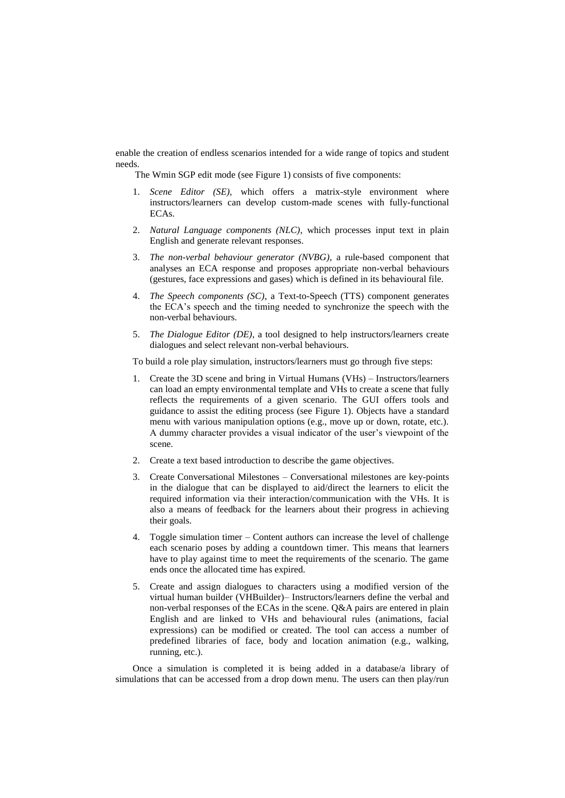enable the creation of endless scenarios intended for a wide range of topics and student needs.

The Wmin SGP edit mode (see Figure 1) consists of five components:

- 1. *Scene Editor (SE),* which offers a matrix-style environment where instructors/learners can develop custom-made scenes with fully-functional ECAs.
- 2. *Natural Language components (NLC)*, which processes input text in plain English and generate relevant responses.
- 3. *The non-verbal behaviour generator (NVBG)*, a rule-based component that analyses an ECA response and proposes appropriate non-verbal behaviours (gestures, face expressions and gases) which is defined in its behavioural file.
- 4. *The Speech components (SC)*, a Text-to-Speech (TTS) component generates the ECA's speech and the timing needed to synchronize the speech with the non-verbal behaviours.
- 5. *The Dialogue Editor (DE)*, a tool designed to help instructors/learners create dialogues and select relevant non-verbal behaviours.

To build a role play simulation, instructors/learners must go through five steps:

- 1. Create the 3D scene and bring in Virtual Humans (VHs) Instructors/learners can load an empty environmental template and VHs to create a scene that fully reflects the requirements of a given scenario. The GUI offers tools and guidance to assist the editing process (see Figure 1). Objects have a standard menu with various manipulation options (e.g., move up or down, rotate, etc.). A dummy character provides a visual indicator of the user's viewpoint of the scene.
- 2. Create a text based introduction to describe the game objectives.
- 3. Create Conversational Milestones Conversational milestones are key-points in the dialogue that can be displayed to aid/direct the learners to elicit the required information via their interaction/communication with the VHs. It is also a means of feedback for the learners about their progress in achieving their goals.
- 4. Toggle simulation timer Content authors can increase the level of challenge each scenario poses by adding a countdown timer. This means that learners have to play against time to meet the requirements of the scenario. The game ends once the allocated time has expired.
- 5. Create and assign dialogues to characters using a modified version of the virtual human builder (VHBuilder)– Instructors/learners define the verbal and non-verbal responses of the ECAs in the scene. Q&A pairs are entered in plain English and are linked to VHs and behavioural rules (animations, facial expressions) can be modified or created. The tool can access a number of predefined libraries of face, body and location animation (e.g., walking, running, etc.).

Once a simulation is completed it is being added in a database/a library of simulations that can be accessed from a drop down menu. The users can then play/run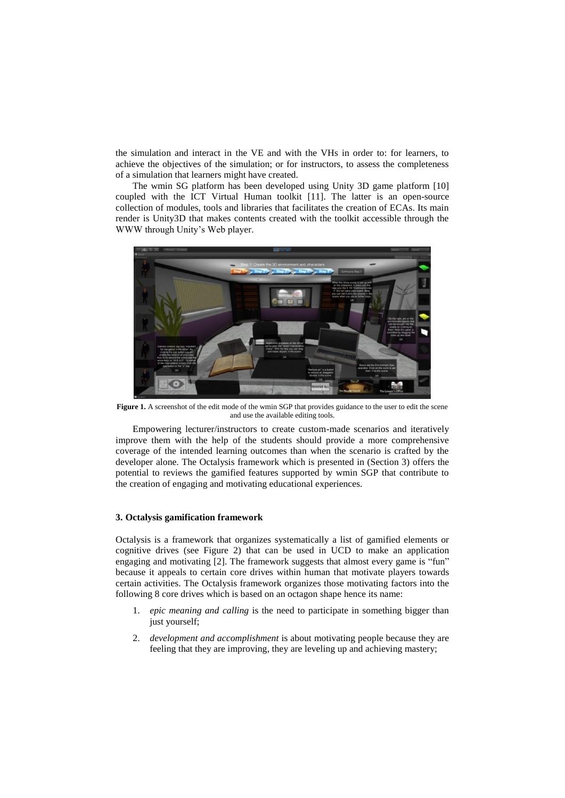the simulation and interact in the VE and with the VHs in order to: for learners, to achieve the objectives of the simulation; or for instructors, to assess the completeness of a simulation that learners might have created.

The wmin SG platform has been developed using Unity 3D game platform [\[10\]](#page-8-7)  coupled with the ICT Virtual Human toolkit [\[11\].](#page-8-8) The latter is an open-source collection of modules, tools and libraries that facilitates the creation of ECAs. Its main render is Unity3D that makes contents created with the toolkit accessible through the WWW through Unity's Web player.



**Figure 1.** A screenshot of the edit mode of the wmin SGP that provides guidance to the user to edit the scene and use the available editing tools.

Empowering lecturer/instructors to create custom-made scenarios and iteratively improve them with the help of the students should provide a more comprehensive coverage of the intended learning outcomes than when the scenario is crafted by the developer alone. The Octalysis framework which is presented in (Section 3) offers the potential to reviews the gamified features supported by wmin SGP that contribute to the creation of engaging and motivating educational experiences.

#### **3. Octalysis gamification framework**

Octalysis is a framework that organizes systematically a list of gamified elements or cognitive drives (see Figure 2) that can be used in UCD to make an application engaging and motivating [\[2\].](#page-8-2) The framework suggests that almost every game is "fun" because it appeals to certain core drives within human that motivate players towards certain activities. The Octalysis framework organizes those motivating factors into the following 8 core drives which is based on an octagon shape hence its name:

- 1. *epic meaning and calling* is the need to participate in something bigger than just yourself;
- 2. *development and accomplishment* is about motivating people because they are feeling that they are improving, they are leveling up and achieving mastery;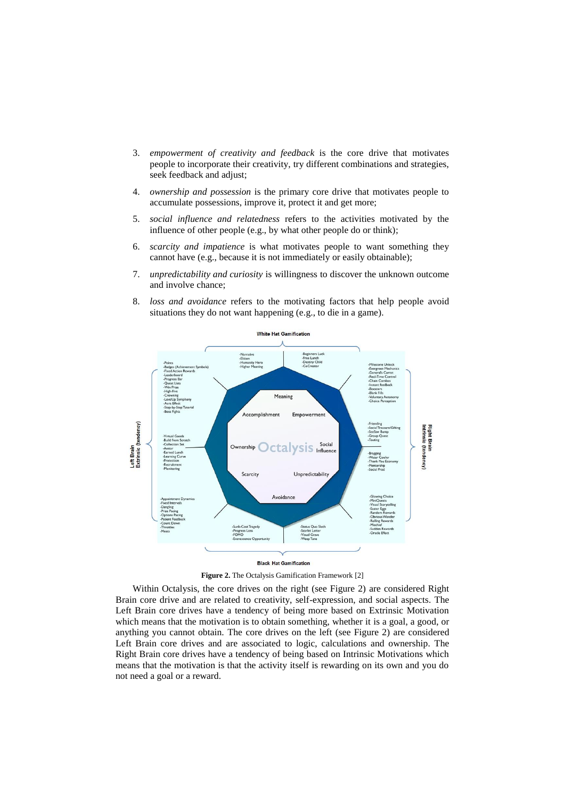- 3. *empowerment of creativity and feedback* is the core drive that motivates people to incorporate their creativity, try different combinations and strategies, seek feedback and adjust;
- 4. *ownership and possession* is the primary core drive that motivates people to accumulate possessions, improve it, protect it and get more;
- 5. *social influence and relatedness* refers to the activities motivated by the influence of other people (e.g., by what other people do or think);
- 6. *scarcity and impatience* is what motivates people to want something they cannot have (e.g., because it is not immediately or easily obtainable);
- 7. *unpredictability and curiosity* is willingness to discover the unknown outcome and involve chance;
- 8. *loss and avoidance* refers to the motivating factors that help people avoid situations they do not want happening (e.g., to die in a game).



**Figure 2.** The Octalysis Gamification Framework [\[2\]](#page-8-2)

Within Octalysis, the core drives on the right (see Figure 2) are considered Right Brain core drive and are related to creativity, self-expression, and social aspects. The Left Brain core drives have a tendency of being more based on Extrinsic Motivation which means that the motivation is to obtain something, whether it is a goal, a good, or anything you cannot obtain. The core drives on the left (see Figure 2) are considered Left Brain core drives and are associated to logic, calculations and ownership. The Right Brain core drives have a tendency of being based on Intrinsic Motivations which means that the motivation is that the activity itself is rewarding on its own and you do not need a goal or a reward.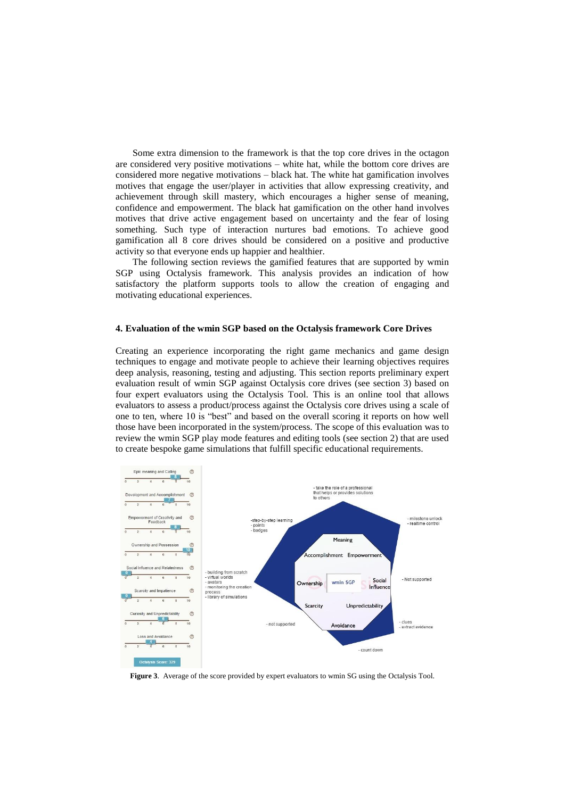Some extra dimension to the framework is that the top core drives in the octagon are considered very positive motivations – white hat, while the bottom core drives are considered more negative motivations – black hat. The white hat gamification involves motives that engage the user/player in activities that allow expressing creativity, and achievement through skill mastery, which encourages a higher sense of meaning, confidence and empowerment. The black hat gamification on the other hand involves motives that drive active engagement based on uncertainty and the fear of losing something. Such type of interaction nurtures bad emotions. To achieve good gamification all 8 core drives should be considered on a positive and productive activity so that everyone ends up happier and healthier.

The following section reviews the gamified features that are supported by wmin SGP using Octalysis framework. This analysis provides an indication of how satisfactory the platform supports tools to allow the creation of engaging and motivating educational experiences.

#### **4. Evaluation of the wmin SGP based on the Octalysis framework Core Drives**

Creating an experience incorporating the right game mechanics and game design techniques to engage and motivate people to achieve their learning objectives requires deep analysis, reasoning, testing and adjusting. This section reports preliminary expert evaluation result of wmin SGP against Octalysis core drives (see section 3) based on four expert evaluators using the Octalysis Tool. This is an online tool that allows evaluators to assess a product/process against the Octalysis core drives using a scale of one to ten, where 10 is "best" and based on the overall scoring it reports on how well those have been incorporated in the system/process. The scope of this evaluation was to review the wmin SGP play mode features and editing tools (see section 2) that are used to create bespoke game simulations that fulfill specific educational requirements.



**Figure 3**. Average of the score provided by expert evaluators to wmin SG using the Octalysis Tool.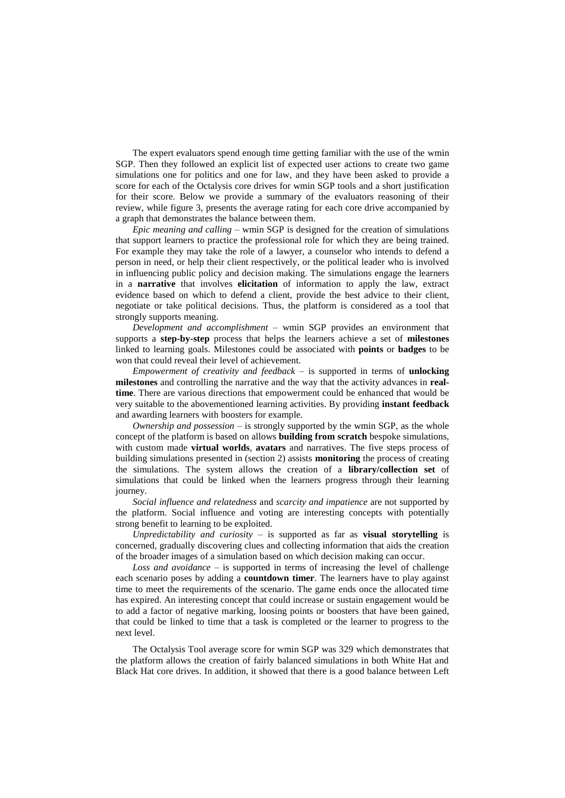The expert evaluators spend enough time getting familiar with the use of the wmin SGP. Then they followed an explicit list of expected user actions to create two game simulations one for politics and one for law, and they have been asked to provide a score for each of the Octalysis core drives for wmin SGP tools and a short justification for their score. Below we provide a summary of the evaluators reasoning of their review, while figure 3, presents the average rating for each core drive accompanied by a graph that demonstrates the balance between them.

*Epic meaning and calling –* wmin SGP is designed for the creation of simulations that support learners to practice the professional role for which they are being trained. For example they may take the role of a lawyer, a counselor who intends to defend a person in need, or help their client respectively, or the political leader who is involved in influencing public policy and decision making. The simulations engage the learners in a **narrative** that involves **elicitation** of information to apply the law, extract evidence based on which to defend a client, provide the best advice to their client, negotiate or take political decisions. Thus, the platform is considered as a tool that strongly supports meaning.

*Development and accomplishment* – wmin SGP provides an environment that supports a **step-by-step** process that helps the learners achieve a set of **milestones** linked to learning goals. Milestones could be associated with **points** or **badges** to be won that could reveal their level of achievement.

*Empowerment of creativity and feedback –* is supported in terms of **unlocking milestones** and controlling the narrative and the way that the activity advances in **realtime**. There are various directions that empowerment could be enhanced that would be very suitable to the abovementioned learning activities. By providing **instant feedback** and awarding learners with boosters for example.

*Ownership and possession –* is strongly supported by the wmin SGP, as the whole concept of the platform is based on allows **building from scratch** bespoke simulations, with custom made **virtual worlds**, **avatars** and narratives. The five steps process of building simulations presented in (section 2) assists **monitoring** the process of creating the simulations. The system allows the creation of a **library/collection set** of simulations that could be linked when the learners progress through their learning journey.

*Social influence and relatedness* and *scarcity and impatience* are not supported by the platform. Social influence and voting are interesting concepts with potentially strong benefit to learning to be exploited.

*Unpredictability and curiosity –* is supported as far as **visual storytelling** is concerned, gradually discovering clues and collecting information that aids the creation of the broader images of a simulation based on which decision making can occur.

*Loss and avoidance* – is supported in terms of increasing the level of challenge each scenario poses by adding a **countdown timer**. The learners have to play against time to meet the requirements of the scenario. The game ends once the allocated time has expired. An interesting concept that could increase or sustain engagement would be to add a factor of negative marking, loosing points or boosters that have been gained, that could be linked to time that a task is completed or the learner to progress to the next level.

The Octalysis Tool average score for wmin SGP was 329 which demonstrates that the platform allows the creation of fairly balanced simulations in both White Hat and Black Hat core drives. In addition, it showed that there is a good balance between Left